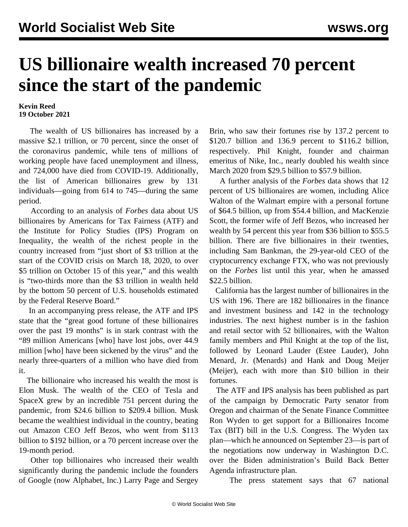## **US billionaire wealth increased 70 percent since the start of the pandemic**

## **Kevin Reed 19 October 2021**

 The wealth of US billionaires has increased by a massive \$2.1 trillion, or 70 percent, since the onset of the coronavirus pandemic, while tens of millions of working people have faced unemployment and illness, and 724,000 have died from COVID-19. Additionally, the list of American billionaires grew by 131 individuals—going from 614 to 745—during the same period.

 According to an analysis of *Forbes* data about US billionaires by Americans for Tax Fairness (ATF) and the Institute for Policy Studies (IPS) Program on Inequality, the wealth of the richest people in the country increased from "just short of \$3 trillion at the start of the COVID crisis on March 18, 2020, to over \$5 trillion on October 15 of this year," and this wealth is "two-thirds more than the \$3 trillion in wealth held by the bottom 50 percent of U.S. households estimated by the Federal Reserve Board."

 In an [accompanying press release,](https://americansfortaxfairness.org/wp-content/uploads/2021-10-18-Billionaires-National-Report-October-2021-1.pdf) the ATF and IPS state that the "great good fortune of these billionaires over the past 19 months" is in stark contrast with the "89 million Americans [who] have lost jobs, over 44.9 million [who] have been sickened by the virus" and the nearly three-quarters of a million who have died from it.

 The billionaire who increased his wealth the most is Elon Musk. The wealth of the CEO of Tesla and SpaceX grew by an incredible 751 percent during the pandemic, from \$24.6 billion to \$209.4 billion. Musk became the wealthiest individual in the country, beating out Amazon CEO Jeff Bezos, who went from \$113 billion to \$192 billion, or a 70 percent increase over the 19-month period.

 Other top billionaires who increased their wealth significantly during the pandemic include the founders of Google (now Alphabet, Inc.) Larry Page and Sergey

Brin, who saw their fortunes rise by 137.2 percent to \$120.7 billion and 136.9 percent to \$116.2 billion, respectively. Phil Knight, founder and chairman emeritus of Nike, Inc., nearly doubled his wealth since March 2020 from \$29.5 billion to \$57.9 billion.

 A further analysis of the *Forbes* data shows that 12 percent of US billionaires are women, including Alice Walton of the Walmart empire with a personal fortune of \$64.5 billion, up from \$54.4 billion, and MacKenzie Scott, the former wife of Jeff Bezos, who increased her wealth by 54 percent this year from \$36 billion to \$55.5 billion. There are five billionaires in their twenties, including Sam Bankman, the 29-year-old CEO of the cryptocurrency exchange FTX, who was not previously on the *Forbes* list until this year, when he amassed \$22.5 billion.

 California has the largest number of billionaires in the US with 196. There are 182 billionaires in the finance and investment business and 142 in the technology industries. The next highest number is in the fashion and retail sector with 52 billionaires, with the Walton family members and Phil Knight at the top of the list, followed by Leonard Lauder (Estee Lauder), John Menard, Jr. (Menards) and Hank and Doug Meijer (Meijer), each with more than \$10 billion in their fortunes.

 The ATF and IPS analysis has been published as part of the campaign by Democratic Party senator from Oregon and chairman of the Senate Finance Committee Ron Wyden to get support for a Billionaires Income Tax (BIT) bill in the U.S. Congress. The Wyden tax plan—which he announced on September 23—is part of the negotiations now underway in Washington D.C. over the Biden administration's Build Back Better Agenda infrastructure plan.

The press statement says that 67 national